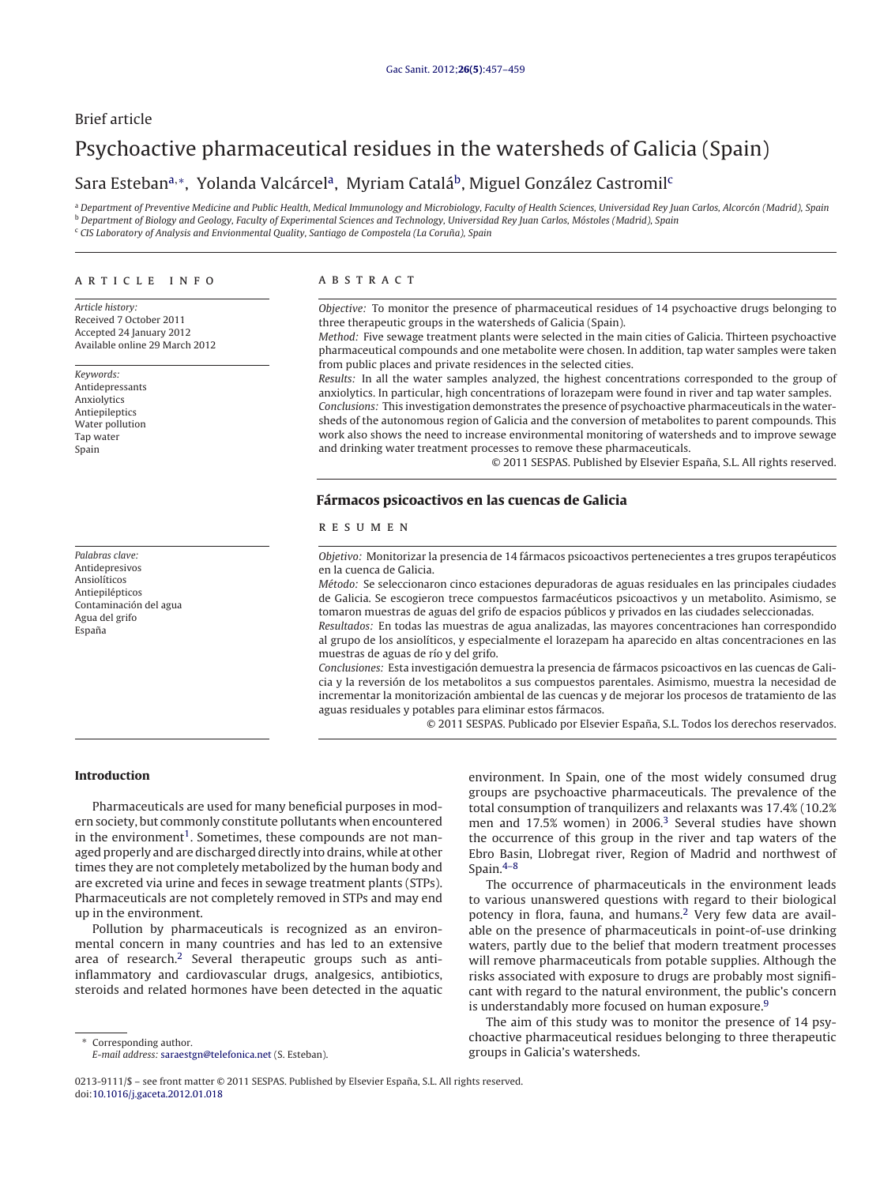# Brief article Psychoactive pharmaceutical residues in the watersheds of Galicia (Spain)

# Sara Esteban<sup>a,∗</sup>, Yolanda Valcárcel<sup>a</sup>, Myriam Catalá<sup>b</sup>, Miguel González Castromil<sup>c</sup>

a Department of Preventive Medicine and Public Health, Medical Immunology and Microbiology, Faculty of Health Sciences, Universidad Rey Juan Carlos, Alcorcón (Madrid), Spain <sup>b</sup> Department of Biology and Geology, Faculty of Experimental Sciences and Technology, Universidad Rey Juan Carlos, Móstoles (Madrid), Spain <sup>c</sup> CIS Laboratory of Analysis and Envionmental Quality, Santiago de Compostela (La Coruña), Spain

### A R T I C L E I N F O

Article history: Received 7 October 2011 Accepted 24 January 2012 Available online 29 March 2012

Keywords: Antidepressants Anxiolytics Antiepileptics Water pollution Tap water Spain

Palabras clave: Antidepresivos Ansiolíticos Antiepilépticos Contaminación del agua Agua del grifo España

### A B S T R A C T

Objective: To monitor the presence of pharmaceutical residues of 14 psychoactive drugs belonging to three therapeutic groups in the watersheds of Galicia (Spain).

Method: Five sewage treatment plants were selected in the main cities of Galicia. Thirteen psychoactive pharmaceutical compounds and one metabolite were chosen. In addition, tap water samples were taken from public places and private residences in the selected cities.

Results: In all the water samples analyzed, the highest concentrations corresponded to the group of anxiolytics. In particular, high concentrations of lorazepam were found in river and tap water samples. Conclusions: This investigation demonstrates the presence of psychoactive pharmaceuticals in the watersheds of the autonomous region of Galicia and the conversion of metabolites to parent compounds. This work also shows the need to increase environmental monitoring of watersheds and to improve sewage and drinking water treatment processes to remove these pharmaceuticals.

© 2011 SESPAS. Published by Elsevier España, S.L. All rights reserved.

## **Fármacos psicoactivos en las cuencas de Galicia**

### r e s u m e n

Objetivo: Monitorizar la presencia de 14 fármacos psicoactivos pertenecientes a tres grupos terapéuticos en la cuenca de Galicia.

Método: Se seleccionaron cinco estaciones depuradoras de aguas residuales en las principales ciudades de Galicia. Se escogieron trece compuestos farmacéuticos psicoactivos y un metabolito. Asimismo, se tomaron muestras de aguas del grifo de espacios públicos y privados en las ciudades seleccionadas.

Resultados: En todas las muestras de agua analizadas, las mayores concentraciones han correspondido al grupo de los ansiolíticos, y especialmente el lorazepam ha aparecido en altas concentraciones en las muestras de aguas de río y del grifo.

Conclusiones: Esta investigación demuestra la presencia de fármacos psicoactivos en las cuencas de Galicia y la reversión de los metabolitos a sus compuestos parentales. Asimismo, muestra la necesidad de incrementar la monitorización ambiental de las cuencas y de mejorar los procesos de tratamiento de las aguas residuales y potables para eliminar estos fármacos.

© 2011 SESPAS. Publicado por Elsevier España, S.L. Todos los derechos reservados.

# **Introduction**

Pharmaceuticals are used for many beneficial purposes in modern society, but commonly constitute pollutants when encountered in the environment<sup>1</sup>. Sometimes, these compounds are not managed properly and are discharged directly into drains, while at other times they are not completely metabolized by the human body and are excreted via urine and feces in sewage treatment plants (STPs). Pharmaceuticals are not completely removed in STPs and may end up in the environment.

Pollution by pharmaceuticals is recognized as an environmental concern in many countries and has led to an extensive area of research.<sup>[2](#page-2-0)</sup> Several therapeutic groups such as antiinflammatory and cardiovascular drugs, analgesics, antibiotics, steroids and related hormones have been detected in the aquatic

Corresponding author. E-mail address: [saraestgn@telefonica.net](mailto:saraestgn@telefonica.net) (S. Esteban). environment. In Spain, one of the most widely consumed drug groups are psychoactive pharmaceuticals. The prevalence of the total consumption of tranquilizers and relaxants was 17.4% (10.2% men and 17.5% women) in 2006[.3](#page-2-0) Several studies have shown the occurrence of this group in the river and tap waters of the Ebro Basin, Llobregat river, Region of Madrid and northwest of Spain[.4–8](#page-2-0)

The occurrence of pharmaceuticals in the environment leads to various unanswered questions with regard to their biological potency in flora, fauna, and humans.<sup>[2](#page-2-0)</sup> Very few data are available on the presence of pharmaceuticals in point-of-use drinking waters, partly due to the belief that modern treatment processes will remove pharmaceuticals from potable supplies. Although the risks associated with exposure to drugs are probably most significant with regard to the natural environment, the public's concern is understandably more focused on human exposure.<sup>[9](#page-2-0)</sup>

The aim of this study was to monitor the presence of 14 psychoactive pharmaceutical residues belonging to three therapeutic groups in Galicia's watersheds.

<sup>0213-9111/\$</sup> – see front matter © 2011 SESPAS. Published by Elsevier España, S.L. All rights reserved. doi:[10.1016/j.gaceta.2012.01.018](dx.doi.org/10.1016/j.gaceta.2012.01.018)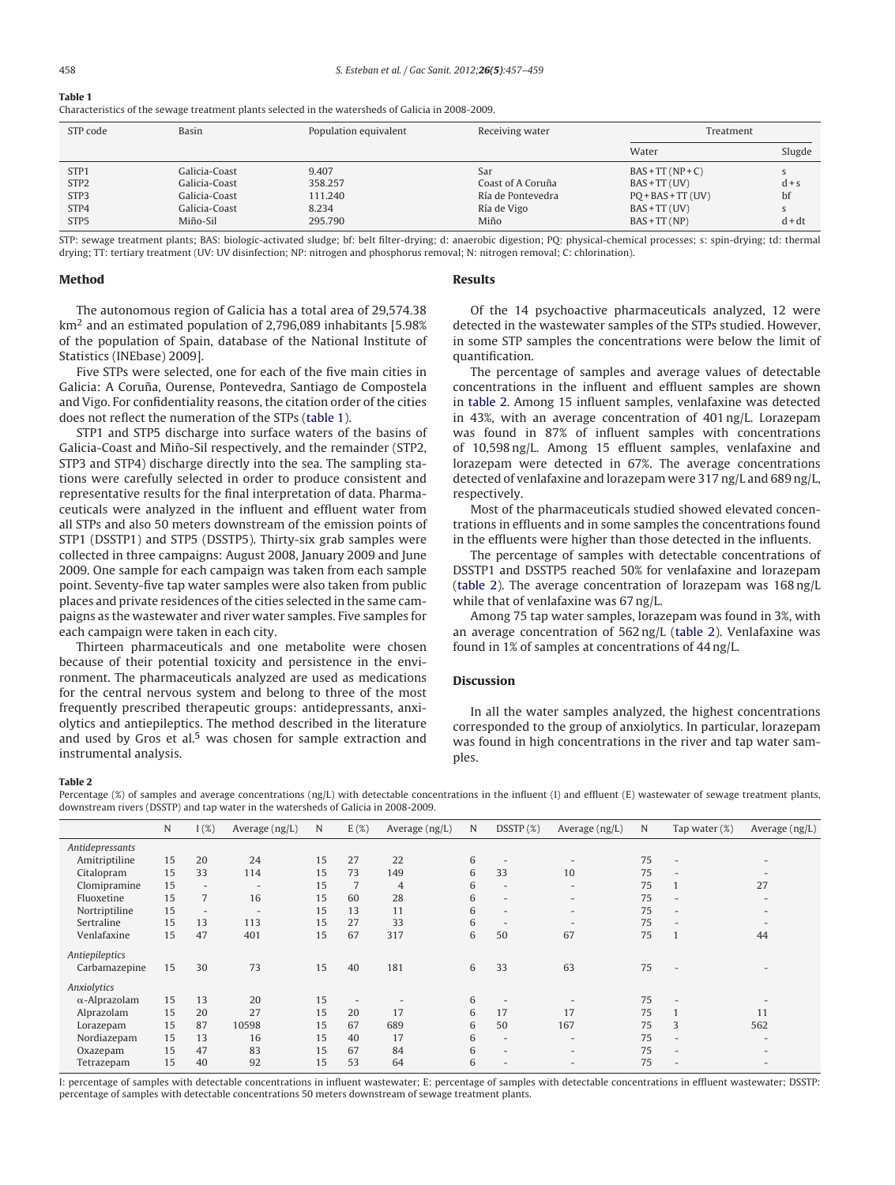| Characteristics of the sewage treatment plants selected in the watersheds of Galicia in 2008-2009. |  |  |
|----------------------------------------------------------------------------------------------------|--|--|
|                                                                                                    |  |  |

| STP code         | <b>Basin</b>  | Population equivalent | Receiving water   | Treatment            |          |
|------------------|---------------|-----------------------|-------------------|----------------------|----------|
|                  |               |                       |                   | Water                | Slugde   |
| STP1             | Galicia-Coast | 9.407                 | Sar               | $BAS + TT (NP + C)$  |          |
| STP <sub>2</sub> | Galicia-Coast | 358.257               | Coast of A Coruña | $BAS + TT$ (UV)      | $d + s$  |
| STP <sub>3</sub> | Galicia-Coast | 111.240               | Ría de Pontevedra | $PO + BAS + TT (UV)$ | bf       |
| STP4             | Galicia-Coast | 8.234                 | Ría de Vigo       | $BAS + TT$ (UV)      |          |
| STP <sub>5</sub> | Miño-Sil      | 295.790               | Miño              | $BAS + TT (NP)$      | $d + dt$ |

STP: sewage treatment plants; BAS: biologic-activated sludge; bf: belt filter-drying; d: anaerobic digestion; PQ: physical-chemical processes; s: spin-drying; td: thermal drying; TT: tertiary treatment (UV: UV disinfection; NP: nitrogen and phosphorus removal; N: nitrogen removal; C: chlorination).

### **Method**

# The autonomous region of Galicia has a total area of 29,574.38 km2 and an estimated population of 2,796,089 inhabitants [5.98% of the population of Spain, database of the National Institute of Statistics (INEbase) 2009].

Five STPs were selected, one for each of the five main cities in Galicia: A Coruña, Ourense, Pontevedra, Santiago de Compostela and Vigo. For confidentiality reasons, the citation order of the cities does not reflect the numeration of the STPs (table 1).

STP1 and STP5 discharge into surface waters of the basins of Galicia-Coast and Miño-Sil respectively, and the remainder (STP2, STP3 and STP4) discharge directly into the sea. The sampling stations were carefully selected in order to produce consistent and representative results for the final interpretation of data. Pharmaceuticals were analyzed in the influent and effluent water from all STPs and also 50 meters downstream of the emission points of STP1 (DSSTP1) and STP5 (DSSTP5). Thirty-six grab samples were collected in three campaigns: August 2008, January 2009 and June 2009. One sample for each campaign was taken from each sample point. Seventy-five tap water samples were also taken from public places and private residences of the cities selected in the same campaigns as the wastewater and river water samples. Five samples for each campaign were taken in each city.

Thirteen pharmaceuticals and one metabolite were chosen because of their potential toxicity and persistence in the environment. The pharmaceuticals analyzed are used as medications for the central nervous system and belong to three of the most frequently prescribed therapeutic groups: antidepressants, anxiolytics and antiepileptics. The method described in the literature and used by Gros et al. $5$  was chosen for sample extraction and instrumental analysis.

# **Results**

Of the 14 psychoactive pharmaceuticals analyzed, 12 were detected in the wastewater samples of the STPs studied. However, in some STP samples the concentrations were below the limit of quantification.

The percentage of samples and average values of detectable concentrations in the influent and effluent samples are shown in table 2. Among 15 influent samples, venlafaxine was detected in 43%, with an average concentration of 401 ng/L. Lorazepam was found in 87% of influent samples with concentrations of 10,598 ng/L. Among 15 effluent samples, venlafaxine and lorazepam were detected in 67%. The average concentrations detected of venlafaxine and lorazepam were 317 ng/L and 689 ng/L, respectively.

Most of the pharmaceuticals studied showed elevated concentrations in effluents and in some samples the concentrations found in the effluents were higher than those detected in the influents.

The percentage of samples with detectable concentrations of DSSTP1 and DSSTP5 reached 50% for venlafaxine and lorazepam (table 2). The average concentration of lorazepam was 168 ng/L while that of venlafaxine was 67 ng/L.

Among 75 tap water samples, lorazepam was found in 3%, with an average concentration of 562 ng/L (table 2). Venlafaxine was found in 1% of samples at concentrations of 44 ng/L.

### **Discussion**

In all the water samples analyzed, the highest concentrations corresponded to the group of anxiolytics. In particular, lorazepam was found in high concentrations in the river and tap water samples.

#### **Table 2**

Percentage (%) of samples and average concentrations (ng/L) with detectable concentrations in the influent (I) and effluent (E) wastewater of sewage treatment plants, downstream rivers (DSSTP) and tap water in the watersheds of Galicia in 2008-2009.

|                      | N  | $I(\mathscr{C})$         | Average (ng/L)           | N  | E(%) | Average $(ng/L)$ | N | DSSTP(%)                 | Average $(ng/L)$         | N  | Tap water (%)            | Average (ng/L)           |
|----------------------|----|--------------------------|--------------------------|----|------|------------------|---|--------------------------|--------------------------|----|--------------------------|--------------------------|
| Antidepressants      |    |                          |                          |    |      |                  |   |                          |                          |    |                          |                          |
| Amitriptiline        | 15 | 20                       | 24                       | 15 | 27   | 22               | 6 | $\overline{\phantom{0}}$ | $\overline{\phantom{a}}$ | 75 | $\overline{\phantom{0}}$ |                          |
| Citalopram           | 15 | 33                       | 114                      | 15 | 73   | 149              | 6 | 33                       | 10                       | 75 | $\overline{\phantom{0}}$ |                          |
| Clomipramine         | 15 | $\overline{\phantom{a}}$ | $\overline{\phantom{a}}$ | 15 | 7    | $\overline{4}$   | 6 | $\overline{\phantom{0}}$ | $\overline{\phantom{a}}$ | 75 |                          | 27                       |
| Fluoxetine           | 15 | $\overline{7}$           | 16                       | 15 | 60   | 28               | 6 | $\overline{\phantom{a}}$ | $\overline{\phantom{a}}$ | 75 | $\overline{\phantom{0}}$ | $\overline{\phantom{0}}$ |
| Nortriptiline        | 15 | $\overline{\phantom{a}}$ | $\overline{\phantom{a}}$ | 15 | 13   | 11               | 6 | $\overline{\phantom{0}}$ | $\overline{\phantom{0}}$ | 75 |                          |                          |
| Sertraline           | 15 | 13                       | 113                      | 15 | 27   | 33               | 6 | $\overline{\phantom{0}}$ | $\overline{\phantom{a}}$ | 75 | $\overline{\phantom{0}}$ |                          |
| Venlafaxine          | 15 | 47                       | 401                      | 15 | 67   | 317              | 6 | 50                       | 67                       | 75 |                          | 44                       |
| Antiepileptics       |    |                          |                          |    |      |                  |   |                          |                          |    |                          |                          |
| Carbamazepine        | 15 | 30                       | 73                       | 15 | 40   | 181              | 6 | 33                       | 63                       | 75 |                          |                          |
| Anxiolytics          |    |                          |                          |    |      |                  |   |                          |                          |    |                          |                          |
| $\alpha$ -Alprazolam | 15 | 13                       | 20                       | 15 |      |                  | 6 |                          |                          | 75 |                          |                          |
| Alprazolam           | 15 | 20                       | 27                       | 15 | 20   | 17               | 6 | 17                       | 17                       | 75 |                          | 11                       |
| Lorazepam            | 15 | 87                       | 10598                    | 15 | 67   | 689              | 6 | 50                       | 167                      | 75 | 3                        | 562                      |
| Nordiazepam          | 15 | 13                       | 16                       | 15 | 40   | 17               | 6 | $\overline{\phantom{a}}$ | $\overline{\phantom{a}}$ | 75 | $\overline{\phantom{0}}$ | $\overline{\phantom{0}}$ |
| Oxazepam             | 15 | 47                       | 83                       | 15 | 67   | 84               | 6 | $\overline{\phantom{0}}$ | $\overline{\phantom{a}}$ | 75 | $\overline{\phantom{0}}$ |                          |
| Tetrazepam           | 15 | 40                       | 92                       | 15 | 53   | 64               | 6 |                          | $\overline{\phantom{0}}$ | 75 |                          | $\overline{\phantom{0}}$ |
|                      |    |                          |                          |    |      |                  |   |                          |                          |    |                          |                          |

I: percentage of samples with detectable concentrations in influent wastewater; E: percentage of samples with detectable concentrations in effluent wastewater; DSSTP: percentage of samples with detectable concentrations 50 meters downstream of sewage treatment plants.